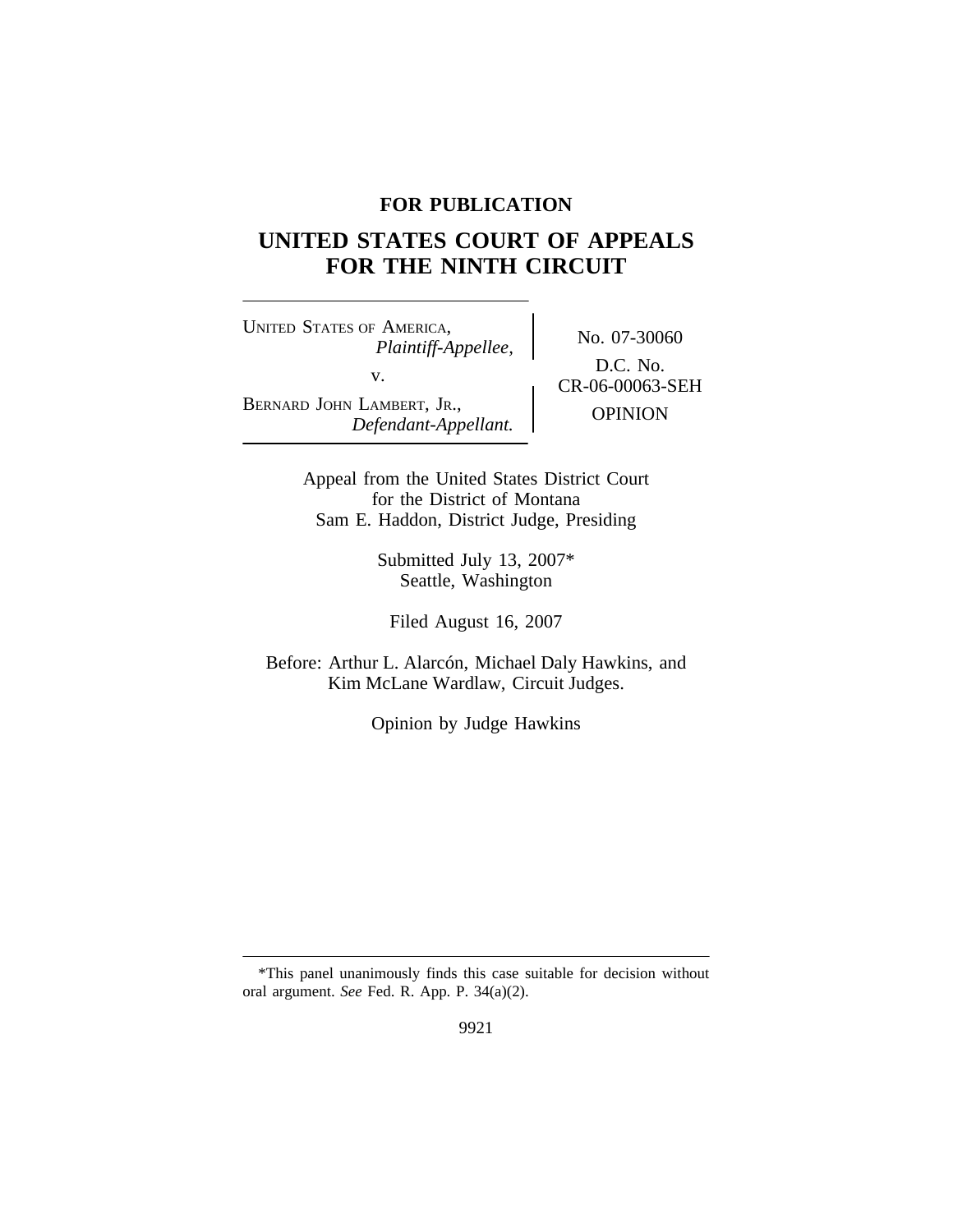## **FOR PUBLICATION**

# **UNITED STATES COURT OF APPEALS FOR THE NINTH CIRCUIT**

<sup>U</sup>NITED STATES OF AMERICA, No. 07-30060 *Plaintiff-Appellee,* v.  $C_{R-06-00063-SEH}^{D.C. 190}$ BERNARD JOHN LAMBERT, JR., **Defendant-Appellant. OPINION** 

D.C. No.

Appeal from the United States District Court for the District of Montana Sam E. Haddon, District Judge, Presiding

> Submitted July 13, 2007\* Seattle, Washington

Filed August 16, 2007

Before: Arthur L. Alarcón, Michael Daly Hawkins, and Kim McLane Wardlaw, Circuit Judges.

Opinion by Judge Hawkins

<sup>\*</sup>This panel unanimously finds this case suitable for decision without oral argument. *See* Fed. R. App. P. 34(a)(2).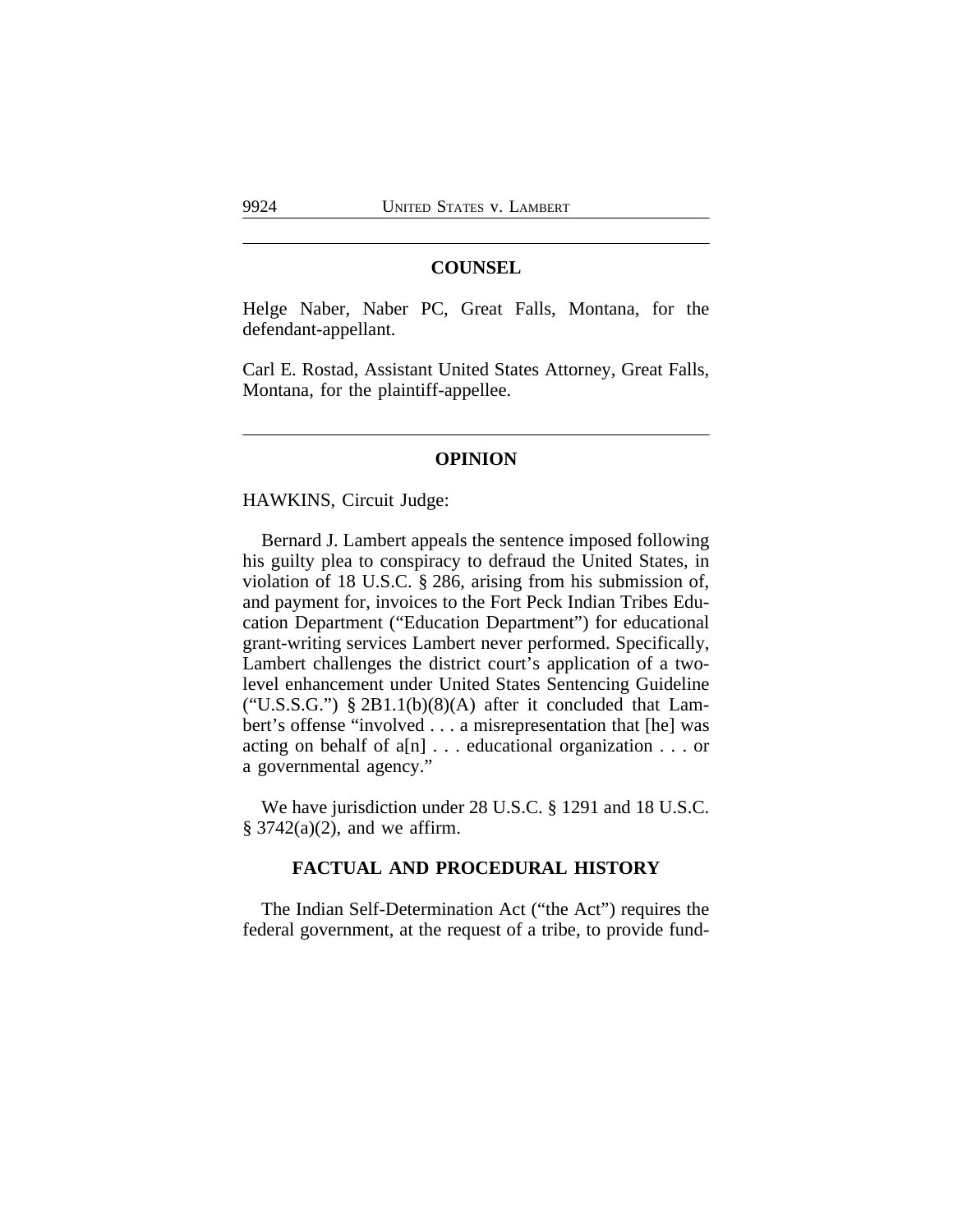## **COUNSEL**

Helge Naber, Naber PC, Great Falls, Montana, for the defendant-appellant.

Carl E. Rostad, Assistant United States Attorney, Great Falls, Montana, for the plaintiff-appellee.

#### **OPINION**

HAWKINS, Circuit Judge:

Bernard J. Lambert appeals the sentence imposed following his guilty plea to conspiracy to defraud the United States, in violation of 18 U.S.C. § 286, arising from his submission of, and payment for, invoices to the Fort Peck Indian Tribes Education Department ("Education Department") for educational grant-writing services Lambert never performed. Specifically, Lambert challenges the district court's application of a twolevel enhancement under United States Sentencing Guideline ("U.S.S.G.") §  $2B1.1(b)(8)(A)$  after it concluded that Lambert's offense "involved . . . a misrepresentation that [he] was acting on behalf of a[n] . . . educational organization . . . or a governmental agency."

We have jurisdiction under 28 U.S.C. § 1291 and 18 U.S.C.  $§$  3742(a)(2), and we affirm.

## **FACTUAL AND PROCEDURAL HISTORY**

The Indian Self-Determination Act ("the Act") requires the federal government, at the request of a tribe, to provide fund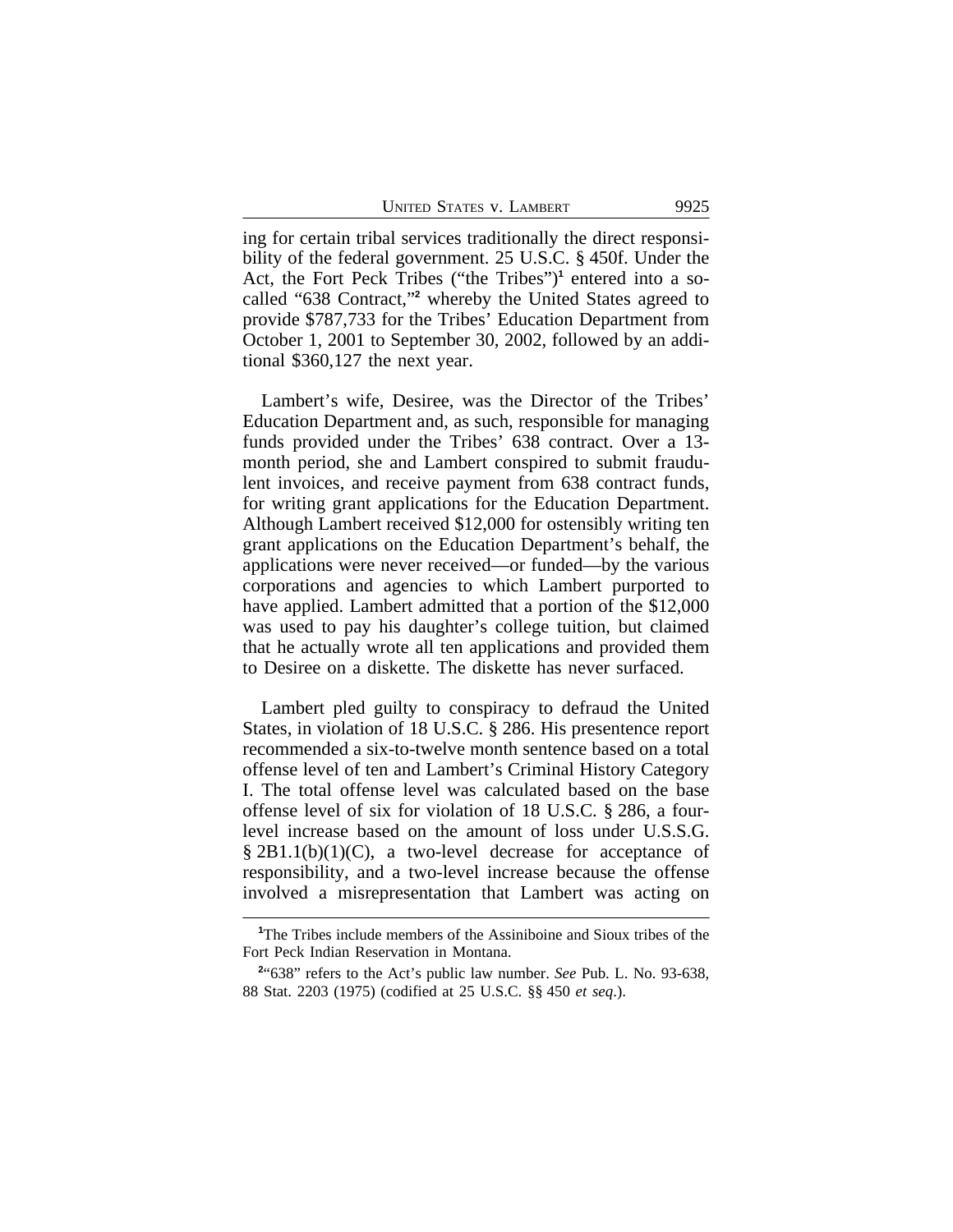ing for certain tribal services traditionally the direct responsibility of the federal government. 25 U.S.C. § 450f. Under the Act, the Fort Peck Tribes ("the Tribes")<sup>1</sup> entered into a socalled "638 Contract," **2** whereby the United States agreed to provide \$787,733 for the Tribes' Education Department from October 1, 2001 to September 30, 2002, followed by an additional \$360,127 the next year.

Lambert's wife, Desiree, was the Director of the Tribes' Education Department and, as such, responsible for managing funds provided under the Tribes' 638 contract. Over a 13 month period, she and Lambert conspired to submit fraudulent invoices, and receive payment from 638 contract funds, for writing grant applications for the Education Department. Although Lambert received \$12,000 for ostensibly writing ten grant applications on the Education Department's behalf, the applications were never received—or funded—by the various corporations and agencies to which Lambert purported to have applied. Lambert admitted that a portion of the \$12,000 was used to pay his daughter's college tuition, but claimed that he actually wrote all ten applications and provided them to Desiree on a diskette. The diskette has never surfaced.

Lambert pled guilty to conspiracy to defraud the United States, in violation of 18 U.S.C. § 286. His presentence report recommended a six-to-twelve month sentence based on a total offense level of ten and Lambert's Criminal History Category I. The total offense level was calculated based on the base offense level of six for violation of 18 U.S.C. § 286, a fourlevel increase based on the amount of loss under U.S.S.G.  $\S 2B1.1(b)(1)(C)$ , a two-level decrease for acceptance of responsibility, and a two-level increase because the offense involved a misrepresentation that Lambert was acting on

**<sup>1</sup>**The Tribes include members of the Assiniboine and Sioux tribes of the Fort Peck Indian Reservation in Montana.

**<sup>2</sup>** "638" refers to the Act's public law number. *See* Pub. L. No. 93-638, 88 Stat. 2203 (1975) (codified at 25 U.S.C. §§ 450 *et seq*.).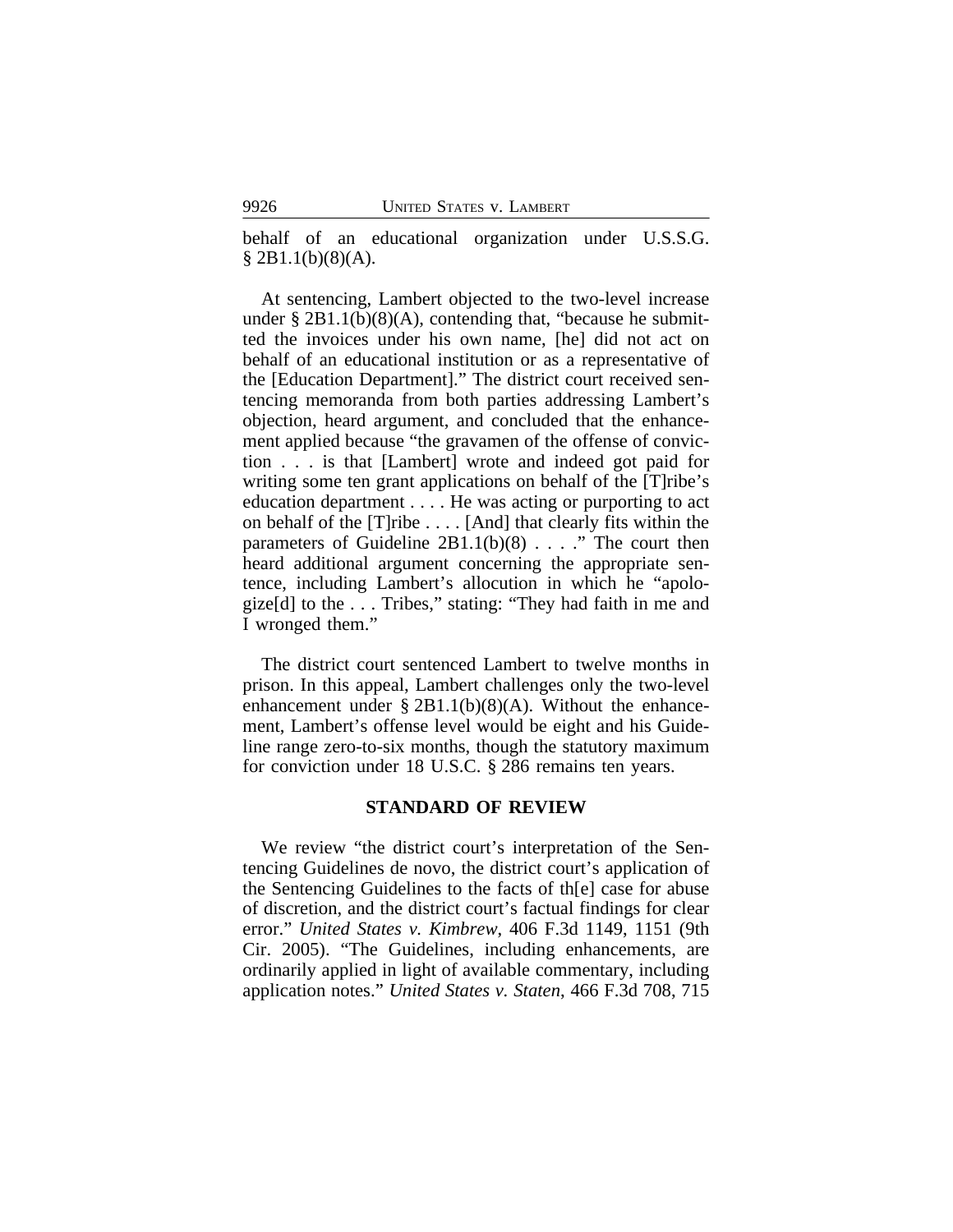behalf of an educational organization under U.S.S.G.  $§ 2B1.1(b)(8)(A).$ 

At sentencing, Lambert objected to the two-level increase under  $\S 2B1.1(b)(8)(A)$ , contending that, "because he submitted the invoices under his own name, [he] did not act on behalf of an educational institution or as a representative of the [Education Department]." The district court received sentencing memoranda from both parties addressing Lambert's objection, heard argument, and concluded that the enhancement applied because "the gravamen of the offense of conviction . . . is that [Lambert] wrote and indeed got paid for writing some ten grant applications on behalf of the [T]ribe's education department . . . . He was acting or purporting to act on behalf of the [T]ribe . . . . [And] that clearly fits within the parameters of Guideline  $2B1.1(b)(8)$ ...." The court then heard additional argument concerning the appropriate sentence, including Lambert's allocution in which he "apologize[d] to the . . . Tribes," stating: "They had faith in me and I wronged them."

The district court sentenced Lambert to twelve months in prison. In this appeal, Lambert challenges only the two-level enhancement under  $\S 2B1.1(b)(8)(A)$ . Without the enhancement, Lambert's offense level would be eight and his Guideline range zero-to-six months, though the statutory maximum for conviction under 18 U.S.C. § 286 remains ten years.

## **STANDARD OF REVIEW**

We review "the district court's interpretation of the Sentencing Guidelines de novo, the district court's application of the Sentencing Guidelines to the facts of th[e] case for abuse of discretion, and the district court's factual findings for clear error." *United States v. Kimbrew*, 406 F.3d 1149, 1151 (9th Cir. 2005). "The Guidelines, including enhancements, are ordinarily applied in light of available commentary, including application notes." *United States v. Staten*, 466 F.3d 708, 715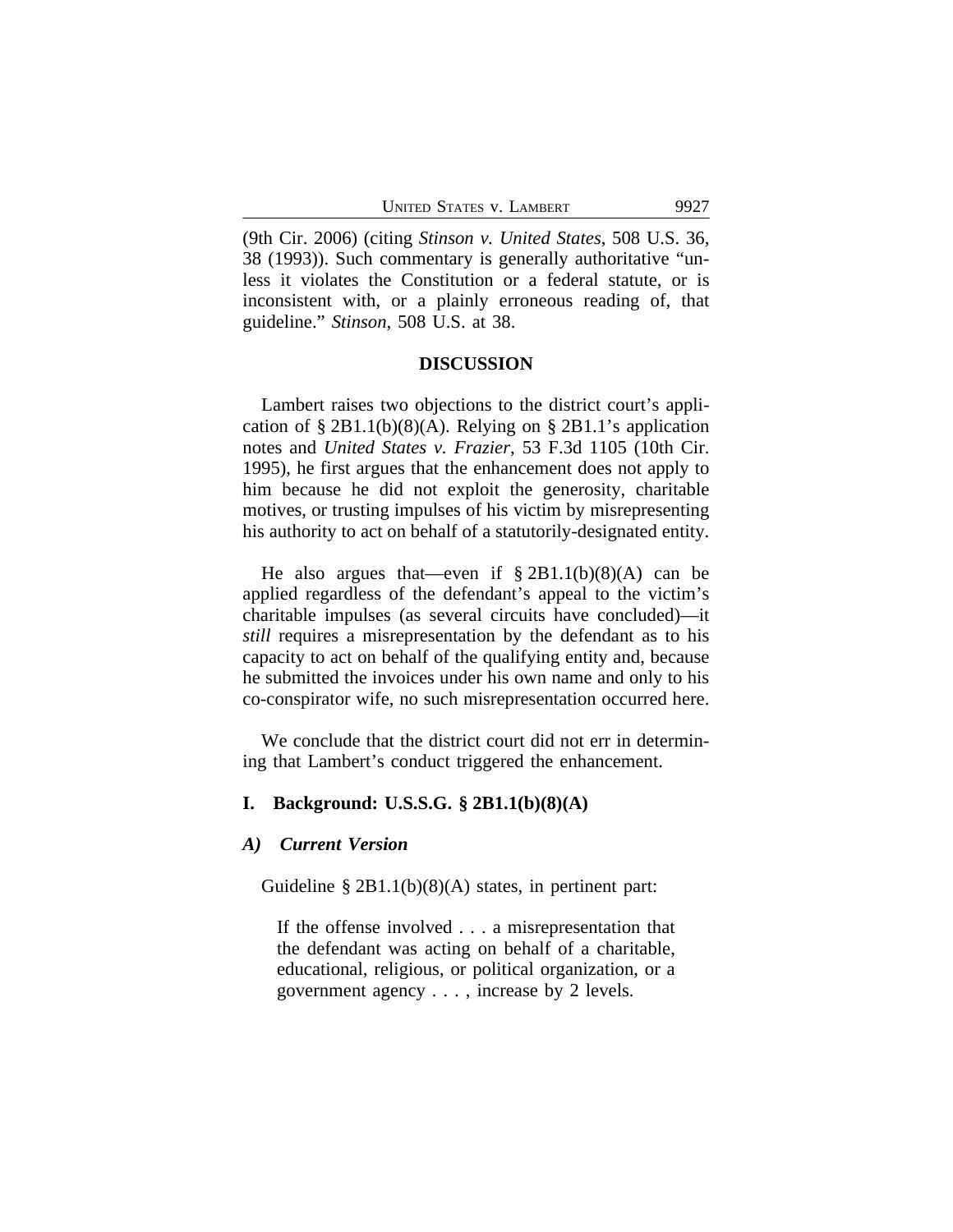(9th Cir. 2006) (citing *Stinson v. United States*, 508 U.S. 36, 38 (1993)). Such commentary is generally authoritative "unless it violates the Constitution or a federal statute, or is inconsistent with, or a plainly erroneous reading of, that guideline." *Stinson*, 508 U.S. at 38.

#### **DISCUSSION**

Lambert raises two objections to the district court's application of  $\S 2B1.1(b)(8)(A)$ . Relying on  $\S 2B1.1$ 's application notes and *United States v. Frazier*, 53 F.3d 1105 (10th Cir. 1995), he first argues that the enhancement does not apply to him because he did not exploit the generosity, charitable motives, or trusting impulses of his victim by misrepresenting his authority to act on behalf of a statutorily-designated entity.

He also argues that—even if  $\S 2B1.1(b)(8)(A)$  can be applied regardless of the defendant's appeal to the victim's charitable impulses (as several circuits have concluded)—it *still* requires a misrepresentation by the defendant as to his capacity to act on behalf of the qualifying entity and, because he submitted the invoices under his own name and only to his co-conspirator wife, no such misrepresentation occurred here.

We conclude that the district court did not err in determining that Lambert's conduct triggered the enhancement.

## **I. Background: U.S.S.G. § 2B1.1(b)(8)(A)**

#### *A) Current Version*

Guideline  $\S 2B1.1(b)(8)(A)$  states, in pertinent part:

If the offense involved . . . a misrepresentation that the defendant was acting on behalf of a charitable, educational, religious, or political organization, or a government agency . . . , increase by 2 levels.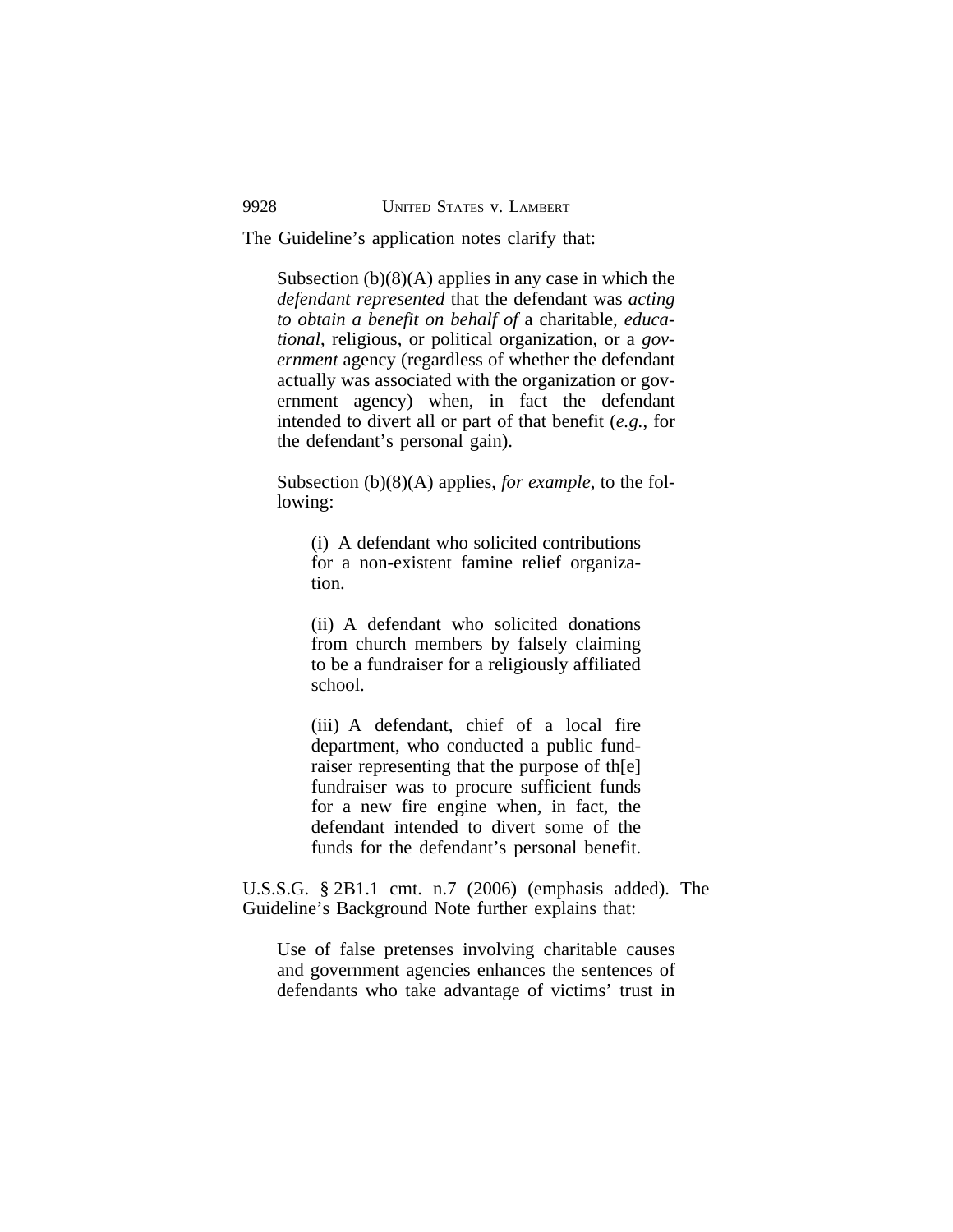The Guideline's application notes clarify that:

Subsection  $(b)(8)(A)$  applies in any case in which the *defendant represented* that the defendant was *acting to obtain a benefit on behalf of* a charitable, *educational*, religious, or political organization, or a *government* agency (regardless of whether the defendant actually was associated with the organization or government agency) when, in fact the defendant intended to divert all or part of that benefit (*e.g.*, for the defendant's personal gain).

Subsection (b)(8)(A) applies, *for example*, to the following:

(i) A defendant who solicited contributions for a non-existent famine relief organization.

(ii) A defendant who solicited donations from church members by falsely claiming to be a fundraiser for a religiously affiliated school.

(iii) A defendant, chief of a local fire department, who conducted a public fundraiser representing that the purpose of th[e] fundraiser was to procure sufficient funds for a new fire engine when, in fact, the defendant intended to divert some of the funds for the defendant's personal benefit.

U.S.S.G. § 2B1.1 cmt. n.7 (2006) (emphasis added). The Guideline's Background Note further explains that:

Use of false pretenses involving charitable causes and government agencies enhances the sentences of defendants who take advantage of victims' trust in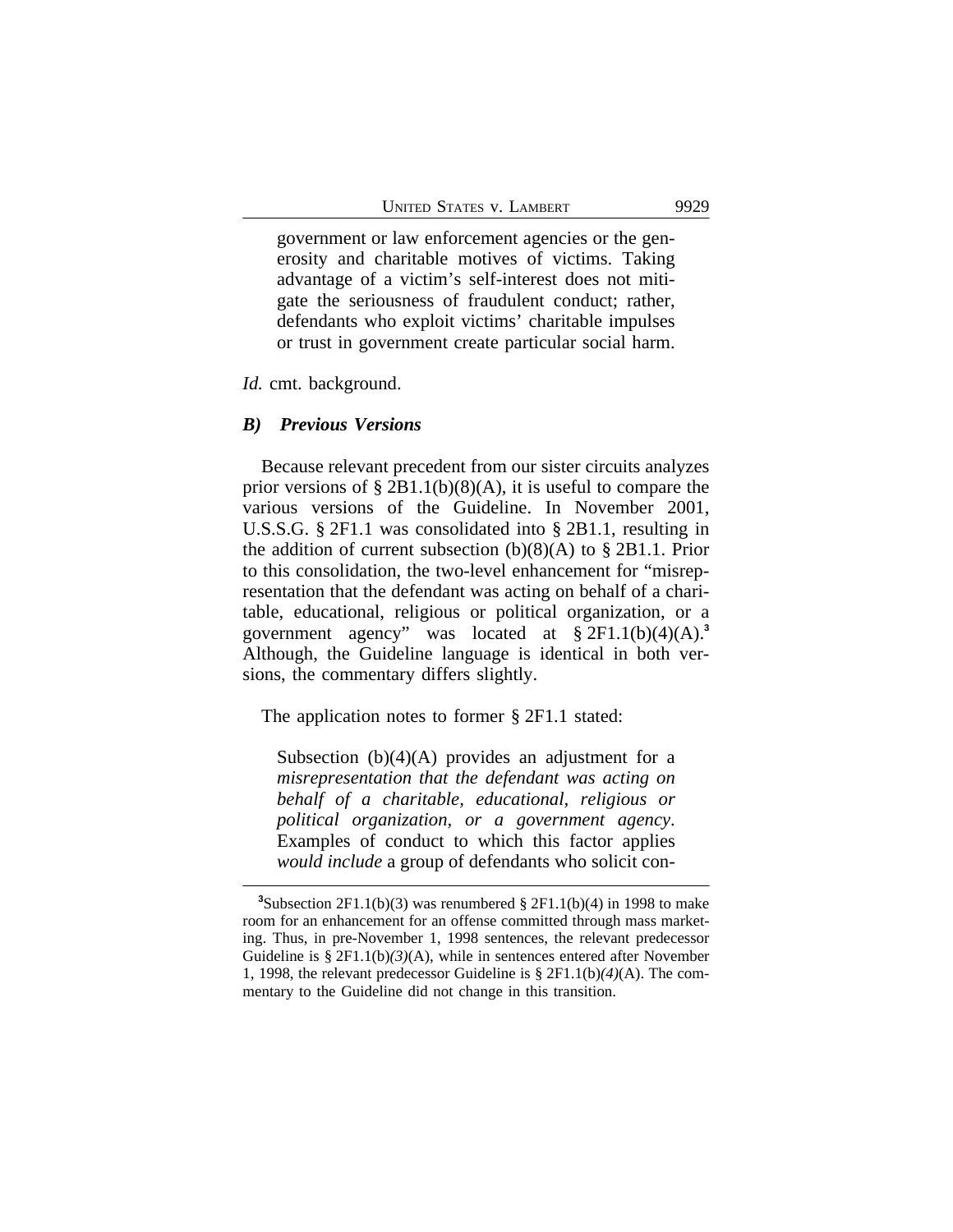government or law enforcement agencies or the generosity and charitable motives of victims. Taking advantage of a victim's self-interest does not mitigate the seriousness of fraudulent conduct; rather, defendants who exploit victims' charitable impulses or trust in government create particular social harm.

## *Id.* cmt. background.

#### *B) Previous Versions*

Because relevant precedent from our sister circuits analyzes prior versions of  $\S 2B1.1(b)(8)(A)$ , it is useful to compare the various versions of the Guideline. In November 2001, U.S.S.G. § 2F1.1 was consolidated into § 2B1.1, resulting in the addition of current subsection (b)(8)(A) to § 2B1.1. Prior to this consolidation, the two-level enhancement for "misrepresentation that the defendant was acting on behalf of a charitable, educational, religious or political organization, or a government agency" was located at § 2F1.1(b)(4)(A).**<sup>3</sup>** Although, the Guideline language is identical in both versions, the commentary differs slightly.

The application notes to former § 2F1.1 stated:

Subsection  $(b)(4)(A)$  provides an adjustment for a *misrepresentation that the defendant was acting on behalf of a charitable, educational, religious or political organization, or a government agency*. Examples of conduct to which this factor applies *would include* a group of defendants who solicit con-

<sup>&</sup>lt;sup>3</sup>Subsection 2F1.1(b)(3) was renumbered  $\S 2F1.1(b)(4)$  in 1998 to make room for an enhancement for an offense committed through mass marketing. Thus, in pre-November 1, 1998 sentences, the relevant predecessor Guideline is § 2F1.1(b)*(3)*(A), while in sentences entered after November 1, 1998, the relevant predecessor Guideline is § 2F1.1(b)*(4)*(A). The commentary to the Guideline did not change in this transition.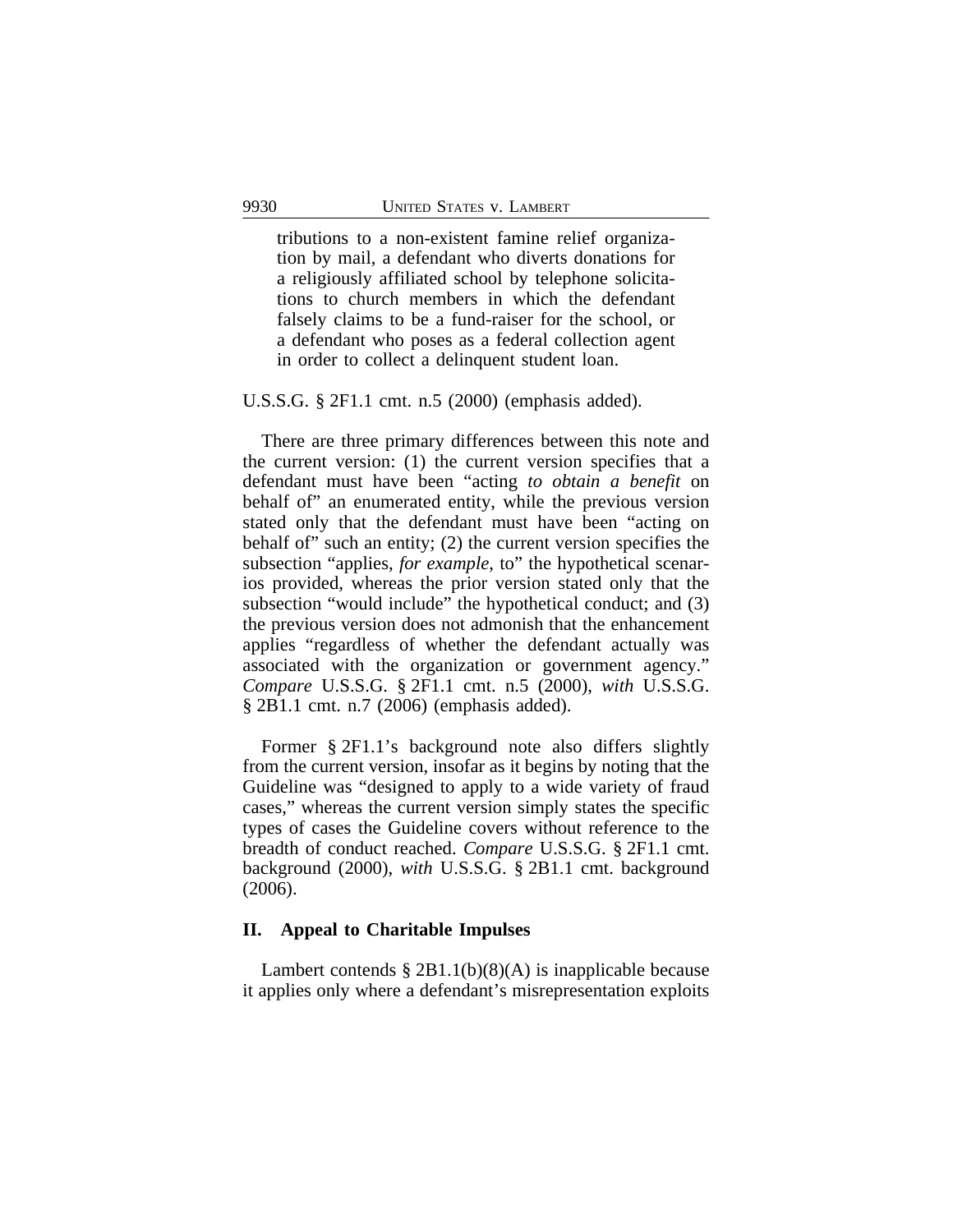tributions to a non-existent famine relief organization by mail, a defendant who diverts donations for a religiously affiliated school by telephone solicitations to church members in which the defendant falsely claims to be a fund-raiser for the school, or a defendant who poses as a federal collection agent in order to collect a delinquent student loan.

U.S.S.G. § 2F1.1 cmt. n.5 (2000) (emphasis added).

There are three primary differences between this note and the current version: (1) the current version specifies that a defendant must have been "acting *to obtain a benefit* on behalf of" an enumerated entity, while the previous version stated only that the defendant must have been "acting on behalf of" such an entity; (2) the current version specifies the subsection "applies, *for example*, to" the hypothetical scenarios provided, whereas the prior version stated only that the subsection "would include" the hypothetical conduct; and (3) the previous version does not admonish that the enhancement applies "regardless of whether the defendant actually was associated with the organization or government agency." *Compare* U.S.S.G. § 2F1.1 cmt. n.5 (2000), *with* U.S.S.G. § 2B1.1 cmt. n.7 (2006) (emphasis added).

Former § 2F1.1's background note also differs slightly from the current version, insofar as it begins by noting that the Guideline was "designed to apply to a wide variety of fraud cases," whereas the current version simply states the specific types of cases the Guideline covers without reference to the breadth of conduct reached. *Compare* U.S.S.G. § 2F1.1 cmt. background (2000), *with* U.S.S.G. § 2B1.1 cmt. background (2006).

### **II. Appeal to Charitable Impulses**

Lambert contends  $\S 2B1.1(b)(8)(A)$  is inapplicable because it applies only where a defendant's misrepresentation exploits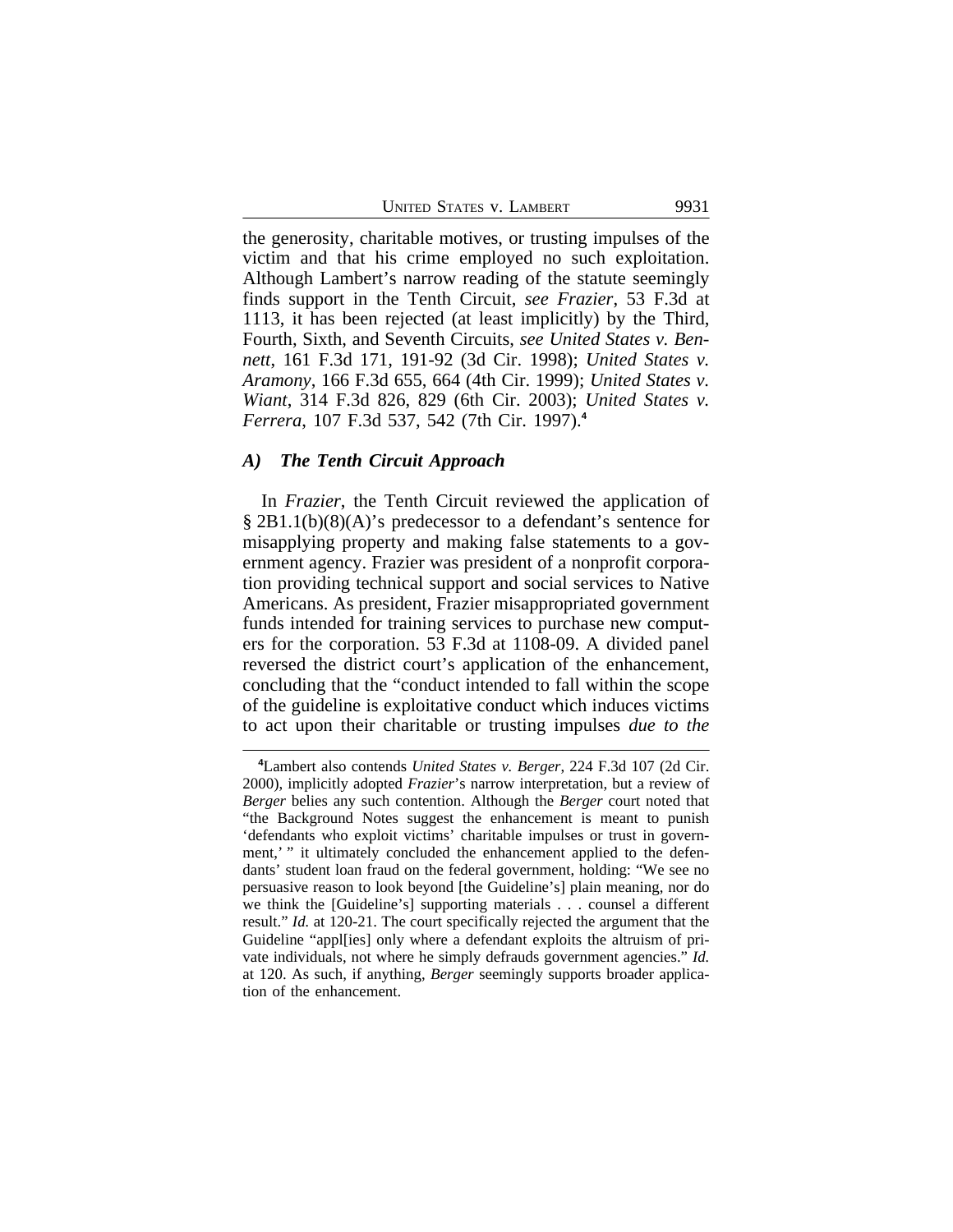the generosity, charitable motives, or trusting impulses of the victim and that his crime employed no such exploitation. Although Lambert's narrow reading of the statute seemingly finds support in the Tenth Circuit, *see Frazier*, 53 F.3d at 1113, it has been rejected (at least implicitly) by the Third, Fourth, Sixth, and Seventh Circuits, *see United States v. Bennett*, 161 F.3d 171, 191-92 (3d Cir. 1998); *United States v. Aramony*, 166 F.3d 655, 664 (4th Cir. 1999); *United States v. Wiant*, 314 F.3d 826, 829 (6th Cir. 2003); *United States v. Ferrera*, 107 F.3d 537, 542 (7th Cir. 1997).**<sup>4</sup>**

## *A) The Tenth Circuit Approach*

In *Frazier*, the Tenth Circuit reviewed the application of § 2B1.1(b)(8)(A)'s predecessor to a defendant's sentence for misapplying property and making false statements to a government agency. Frazier was president of a nonprofit corporation providing technical support and social services to Native Americans. As president, Frazier misappropriated government funds intended for training services to purchase new computers for the corporation. 53 F.3d at 1108-09. A divided panel reversed the district court's application of the enhancement, concluding that the "conduct intended to fall within the scope of the guideline is exploitative conduct which induces victims to act upon their charitable or trusting impulses *due to the*

**<sup>4</sup>**Lambert also contends *United States v. Berger*, 224 F.3d 107 (2d Cir. 2000), implicitly adopted *Frazier*'s narrow interpretation, but a review of *Berger* belies any such contention. Although the *Berger* court noted that "the Background Notes suggest the enhancement is meant to punish 'defendants who exploit victims' charitable impulses or trust in government,' " it ultimately concluded the enhancement applied to the defendants' student loan fraud on the federal government, holding: "We see no persuasive reason to look beyond [the Guideline's] plain meaning, nor do we think the [Guideline's] supporting materials . . . counsel a different result." *Id.* at 120-21. The court specifically rejected the argument that the Guideline "appl[ies] only where a defendant exploits the altruism of private individuals, not where he simply defrauds government agencies." *Id.* at 120. As such, if anything, *Berger* seemingly supports broader application of the enhancement.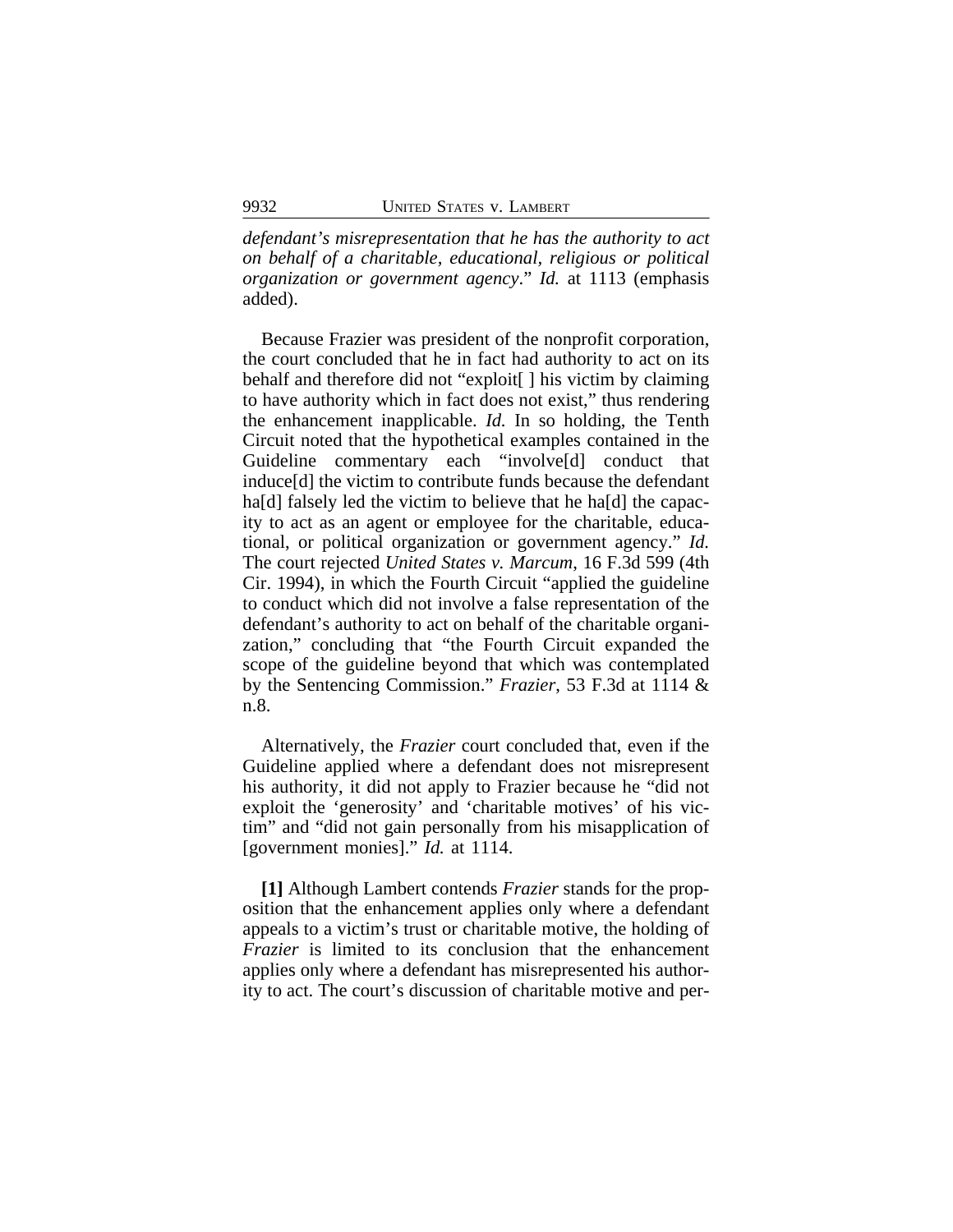*defendant's misrepresentation that he has the authority to act on behalf of a charitable, educational, religious or political organization or government agency*." *Id.* at 1113 (emphasis added).

Because Frazier was president of the nonprofit corporation, the court concluded that he in fact had authority to act on its behalf and therefore did not "exploit[ ] his victim by claiming to have authority which in fact does not exist," thus rendering the enhancement inapplicable. *Id.* In so holding, the Tenth Circuit noted that the hypothetical examples contained in the Guideline commentary each "involve[d] conduct that induce[d] the victim to contribute funds because the defendant ha<sup>[d]</sup> falsely led the victim to believe that he ha<sup>[d]</sup> the capacity to act as an agent or employee for the charitable, educational, or political organization or government agency." *Id.* The court rejected *United States v. Marcum*, 16 F.3d 599 (4th Cir. 1994), in which the Fourth Circuit "applied the guideline to conduct which did not involve a false representation of the defendant's authority to act on behalf of the charitable organization," concluding that "the Fourth Circuit expanded the scope of the guideline beyond that which was contemplated by the Sentencing Commission." *Frazier*, 53 F.3d at 1114 & n.8.

Alternatively, the *Frazier* court concluded that, even if the Guideline applied where a defendant does not misrepresent his authority, it did not apply to Frazier because he "did not exploit the 'generosity' and 'charitable motives' of his victim" and "did not gain personally from his misapplication of [government monies]." *Id.* at 1114.

**[1]** Although Lambert contends *Frazier* stands for the proposition that the enhancement applies only where a defendant appeals to a victim's trust or charitable motive, the holding of *Frazier* is limited to its conclusion that the enhancement applies only where a defendant has misrepresented his authority to act. The court's discussion of charitable motive and per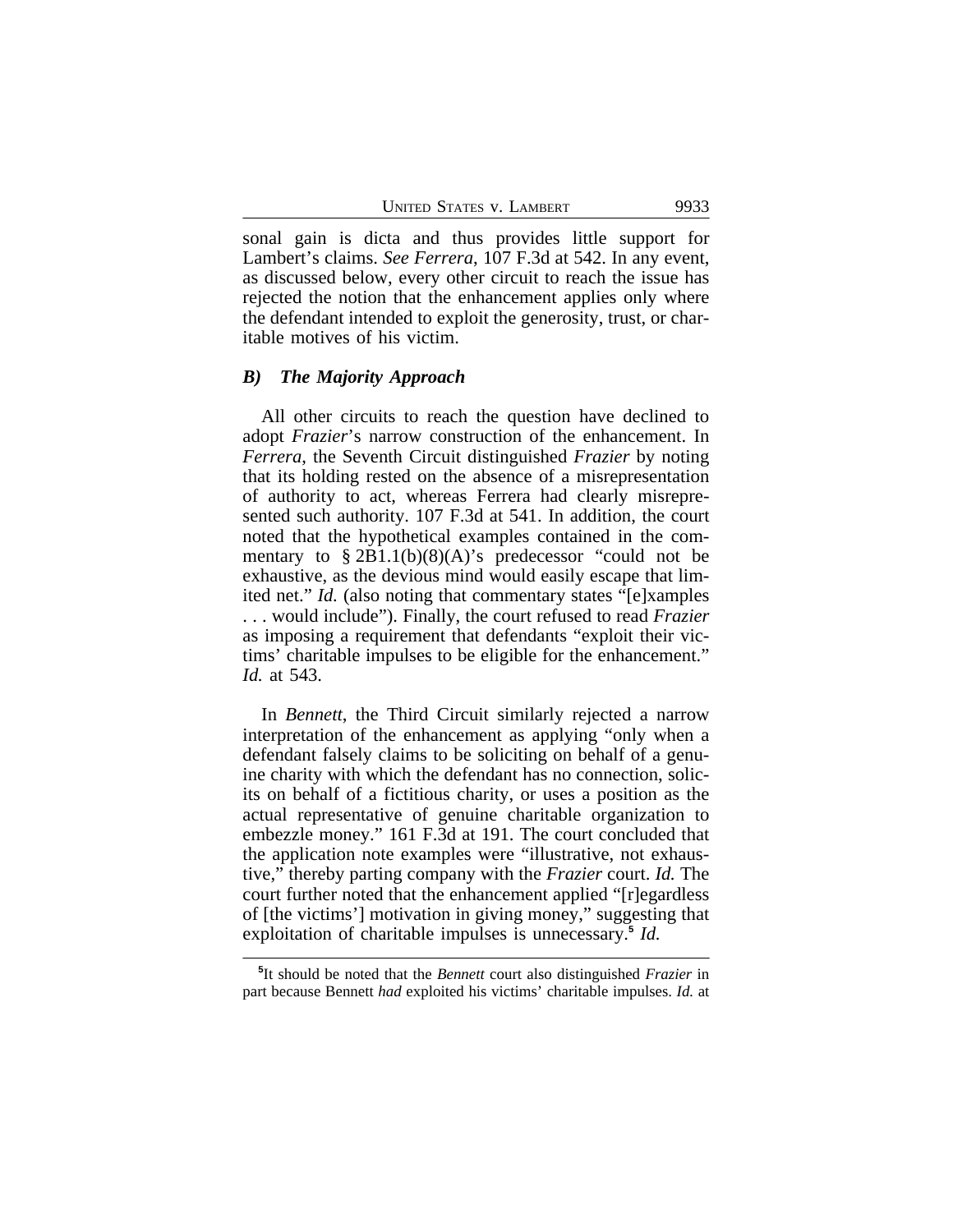sonal gain is dicta and thus provides little support for Lambert's claims. *See Ferrera*, 107 F.3d at 542. In any event, as discussed below, every other circuit to reach the issue has rejected the notion that the enhancement applies only where the defendant intended to exploit the generosity, trust, or charitable motives of his victim.

#### *B) The Majority Approach*

All other circuits to reach the question have declined to adopt *Frazier*'s narrow construction of the enhancement. In *Ferrera*, the Seventh Circuit distinguished *Frazier* by noting that its holding rested on the absence of a misrepresentation of authority to act, whereas Ferrera had clearly misrepresented such authority. 107 F.3d at 541. In addition, the court noted that the hypothetical examples contained in the commentary to  $\S 2B1.1(b)(8)(A)$ 's predecessor "could not be exhaustive, as the devious mind would easily escape that limited net." *Id.* (also noting that commentary states "[e]xamples . . . would include"). Finally, the court refused to read *Frazier* as imposing a requirement that defendants "exploit their victims' charitable impulses to be eligible for the enhancement." *Id.* at 543.

In *Bennett*, the Third Circuit similarly rejected a narrow interpretation of the enhancement as applying "only when a defendant falsely claims to be soliciting on behalf of a genuine charity with which the defendant has no connection, solicits on behalf of a fictitious charity, or uses a position as the actual representative of genuine charitable organization to embezzle money." 161 F.3d at 191. The court concluded that the application note examples were "illustrative, not exhaustive," thereby parting company with the *Frazier* court. *Id.* The court further noted that the enhancement applied "[r]egardless of [the victims'] motivation in giving money," suggesting that exploitation of charitable impulses is unnecessary.**<sup>5</sup>** *Id.*

**<sup>5</sup>** It should be noted that the *Bennett* court also distinguished *Frazier* in part because Bennett *had* exploited his victims' charitable impulses. *Id.* at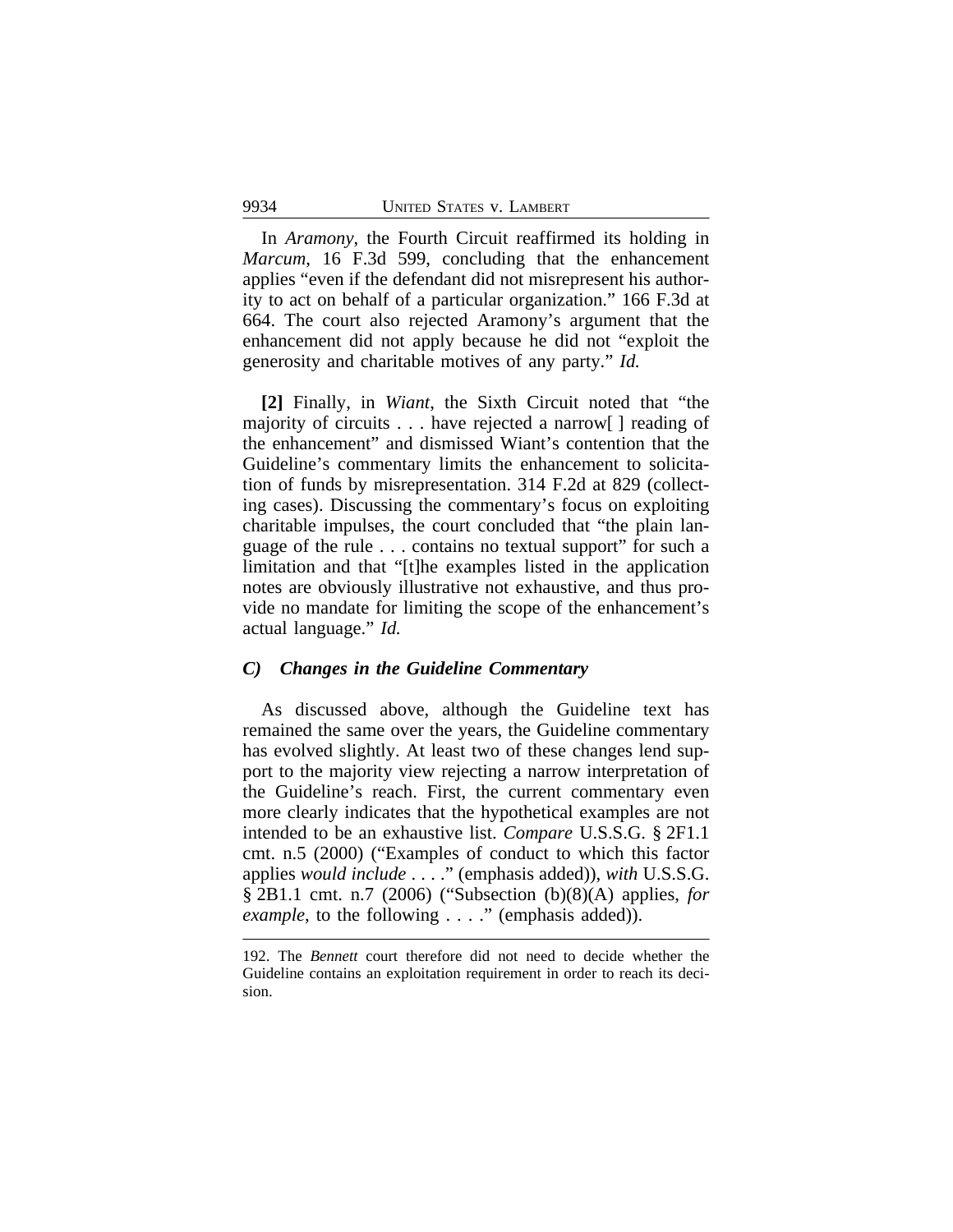In *Aramony*, the Fourth Circuit reaffirmed its holding in *Marcum*, 16 F.3d 599, concluding that the enhancement applies "even if the defendant did not misrepresent his authority to act on behalf of a particular organization." 166 F.3d at 664. The court also rejected Aramony's argument that the enhancement did not apply because he did not "exploit the generosity and charitable motives of any party." *Id.*

**[2]** Finally, in *Wiant*, the Sixth Circuit noted that "the majority of circuits . . . have rejected a narrow[ ] reading of the enhancement" and dismissed Wiant's contention that the Guideline's commentary limits the enhancement to solicitation of funds by misrepresentation. 314 F.2d at 829 (collecting cases). Discussing the commentary's focus on exploiting charitable impulses, the court concluded that "the plain language of the rule . . . contains no textual support" for such a limitation and that "[t]he examples listed in the application notes are obviously illustrative not exhaustive, and thus provide no mandate for limiting the scope of the enhancement's actual language." *Id.* 

#### *C) Changes in the Guideline Commentary*

As discussed above, although the Guideline text has remained the same over the years, the Guideline commentary has evolved slightly. At least two of these changes lend support to the majority view rejecting a narrow interpretation of the Guideline's reach. First, the current commentary even more clearly indicates that the hypothetical examples are not intended to be an exhaustive list. *Compare* U.S.S.G. § 2F1.1 cmt. n.5 (2000) ("Examples of conduct to which this factor applies *would include* . . . ." (emphasis added)), *with* U.S.S.G. § 2B1.1 cmt. n.7 (2006) ("Subsection (b)(8)(A) applies, *for example*, to the following . . . ." (emphasis added)).

<sup>192.</sup> The *Bennett* court therefore did not need to decide whether the Guideline contains an exploitation requirement in order to reach its decision.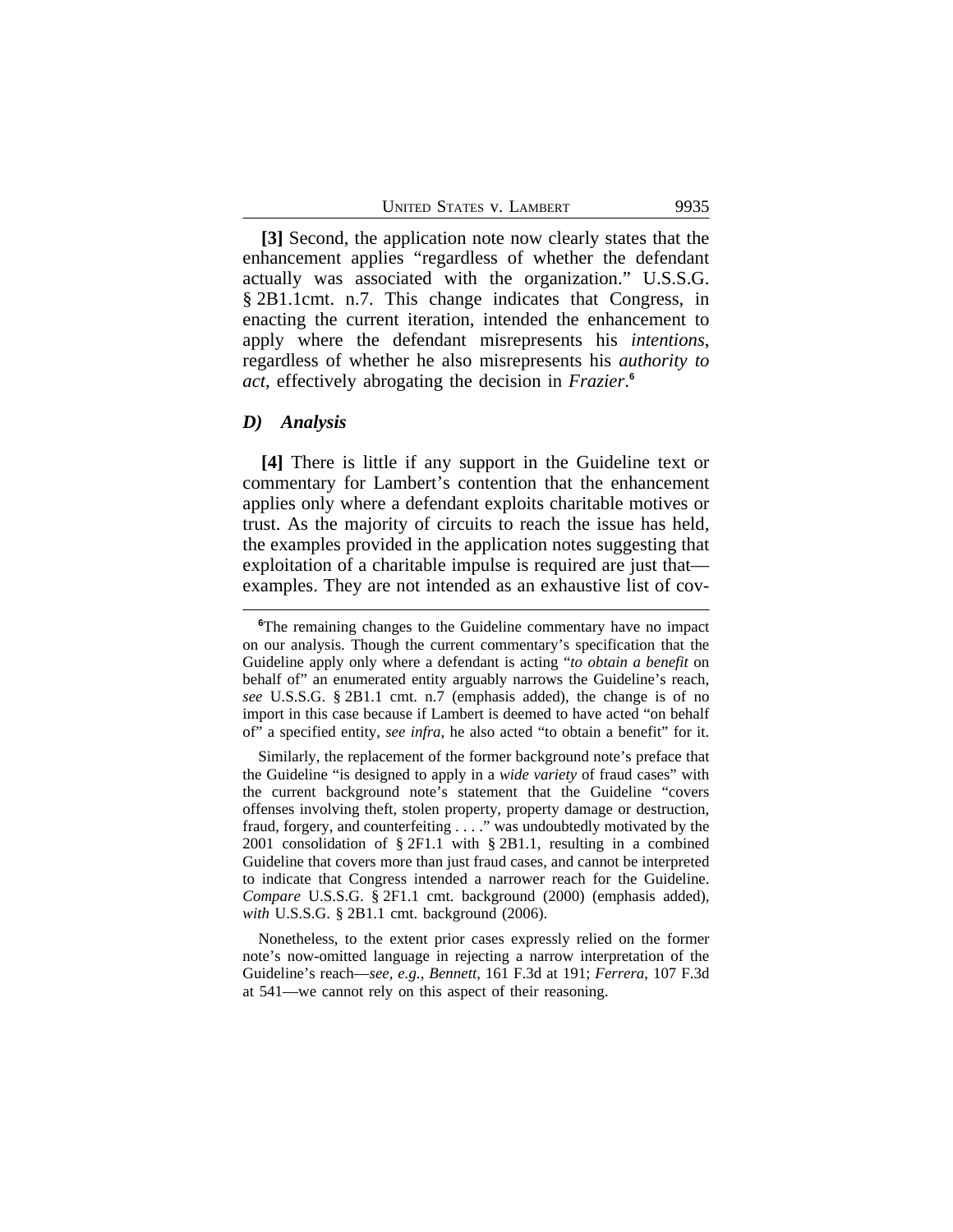**[3]** Second, the application note now clearly states that the enhancement applies "regardless of whether the defendant actually was associated with the organization." U.S.S.G. § 2B1.1cmt. n.7. This change indicates that Congress, in enacting the current iteration, intended the enhancement to apply where the defendant misrepresents his *intentions*, regardless of whether he also misrepresents his *authority to act*, effectively abrogating the decision in *Frazier*. **6**

#### *D) Analysis*

**[4]** There is little if any support in the Guideline text or commentary for Lambert's contention that the enhancement applies only where a defendant exploits charitable motives or trust. As the majority of circuits to reach the issue has held, the examples provided in the application notes suggesting that exploitation of a charitable impulse is required are just that examples. They are not intended as an exhaustive list of cov-

**<sup>6</sup>**The remaining changes to the Guideline commentary have no impact on our analysis. Though the current commentary's specification that the Guideline apply only where a defendant is acting "*to obtain a benefit* on behalf of" an enumerated entity arguably narrows the Guideline's reach, *see* U.S.S.G. § 2B1.1 cmt. n.7 (emphasis added), the change is of no import in this case because if Lambert is deemed to have acted "on behalf of" a specified entity, *see infra*, he also acted "to obtain a benefit" for it.

Similarly, the replacement of the former background note's preface that the Guideline "is designed to apply in a *wide variety* of fraud cases" with the current background note's statement that the Guideline "covers offenses involving theft, stolen property, property damage or destruction, fraud, forgery, and counterfeiting . . . ." was undoubtedly motivated by the 2001 consolidation of § 2F1.1 with § 2B1.1, resulting in a combined Guideline that covers more than just fraud cases, and cannot be interpreted to indicate that Congress intended a narrower reach for the Guideline. *Compare* U.S.S.G. § 2F1.1 cmt. background (2000) (emphasis added), *with* U.S.S.G. § 2B1.1 cmt. background (2006).

Nonetheless, to the extent prior cases expressly relied on the former note's now-omitted language in rejecting a narrow interpretation of the Guideline's reach—*see, e.g.*, *Bennett*, 161 F.3d at 191; *Ferrera*, 107 F.3d at 541—we cannot rely on this aspect of their reasoning.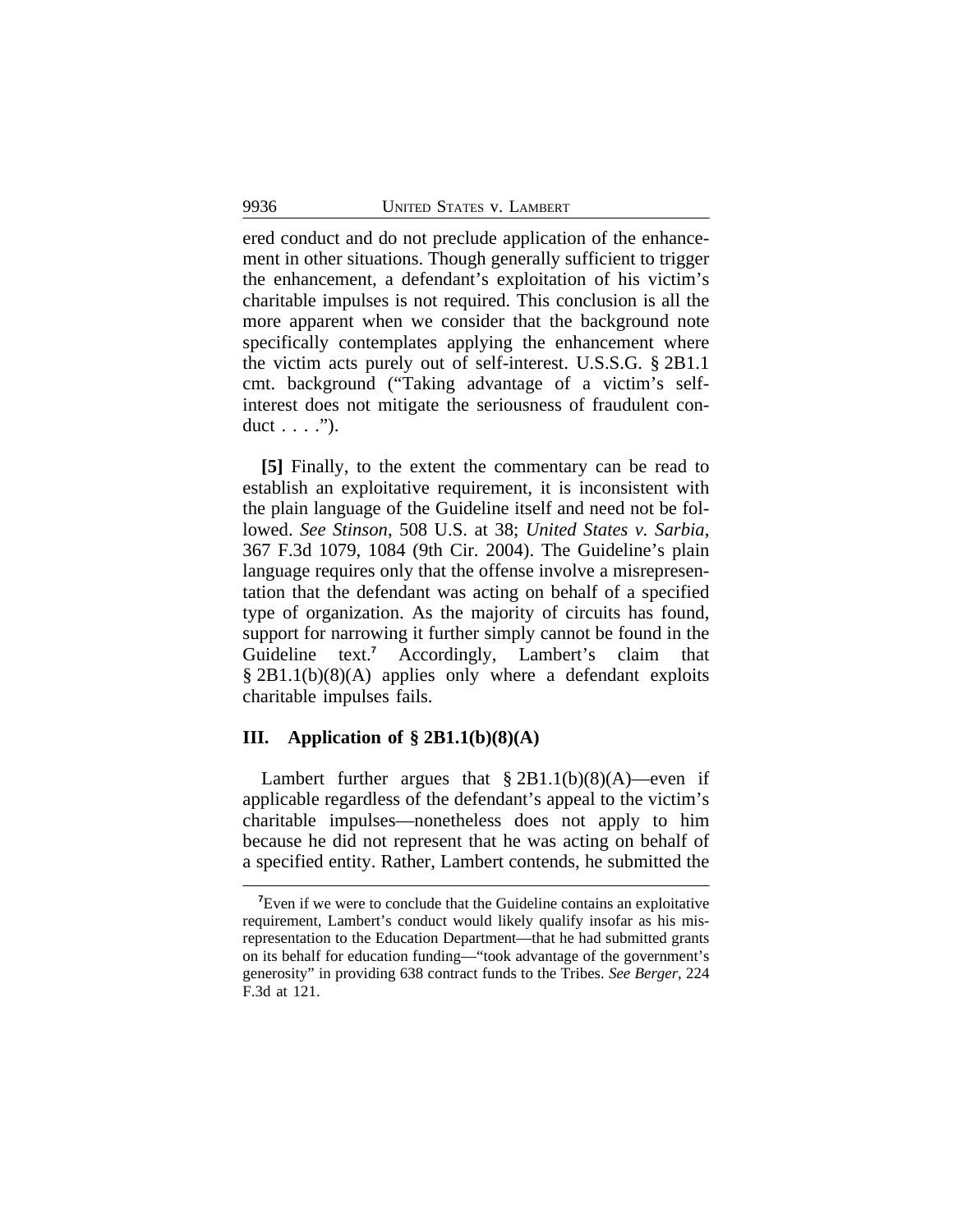ered conduct and do not preclude application of the enhancement in other situations. Though generally sufficient to trigger the enhancement, a defendant's exploitation of his victim's charitable impulses is not required. This conclusion is all the more apparent when we consider that the background note specifically contemplates applying the enhancement where the victim acts purely out of self-interest. U.S.S.G. § 2B1.1 cmt. background ("Taking advantage of a victim's selfinterest does not mitigate the seriousness of fraudulent conduct  $\dots$  .").

**[5]** Finally, to the extent the commentary can be read to establish an exploitative requirement, it is inconsistent with the plain language of the Guideline itself and need not be followed. *See Stinson*, 508 U.S. at 38; *United States v. Sarbia*, 367 F.3d 1079, 1084 (9th Cir. 2004). The Guideline's plain language requires only that the offense involve a misrepresentation that the defendant was acting on behalf of a specified type of organization. As the majority of circuits has found, support for narrowing it further simply cannot be found in the Guideline text.**<sup>7</sup>** Accordingly, Lambert's claim that § 2B1.1(b)(8)(A) applies only where a defendant exploits charitable impulses fails.

# **III. Application of § 2B1.1(b)(8)(A)**

Lambert further argues that  $\S 2B1.1(b)(8)(A)$ —even if applicable regardless of the defendant's appeal to the victim's charitable impulses—nonetheless does not apply to him because he did not represent that he was acting on behalf of a specified entity. Rather, Lambert contends, he submitted the

<sup>&</sup>lt;sup>7</sup>Even if we were to conclude that the Guideline contains an exploitative requirement, Lambert's conduct would likely qualify insofar as his misrepresentation to the Education Department—that he had submitted grants on its behalf for education funding—"took advantage of the government's generosity" in providing 638 contract funds to the Tribes. *See Berger*, 224 F.3d at 121.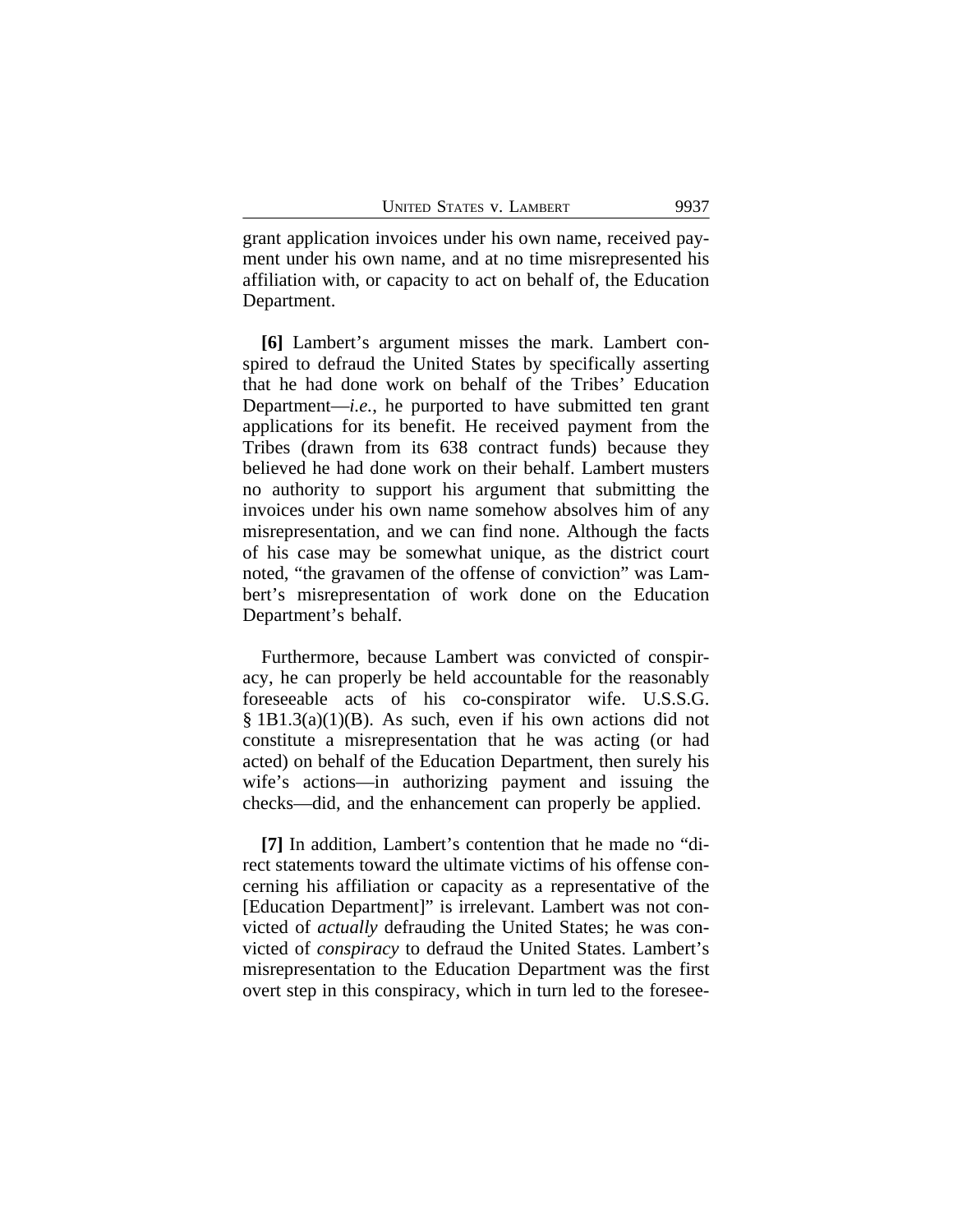grant application invoices under his own name, received payment under his own name, and at no time misrepresented his affiliation with, or capacity to act on behalf of, the Education Department.

**[6]** Lambert's argument misses the mark. Lambert conspired to defraud the United States by specifically asserting that he had done work on behalf of the Tribes' Education Department—*i.e.*, he purported to have submitted ten grant applications for its benefit. He received payment from the Tribes (drawn from its 638 contract funds) because they believed he had done work on their behalf. Lambert musters no authority to support his argument that submitting the invoices under his own name somehow absolves him of any misrepresentation, and we can find none. Although the facts of his case may be somewhat unique, as the district court noted, "the gravamen of the offense of conviction" was Lambert's misrepresentation of work done on the Education Department's behalf.

Furthermore, because Lambert was convicted of conspiracy, he can properly be held accountable for the reasonably foreseeable acts of his co-conspirator wife. U.S.S.G. § 1B1.3(a)(1)(B). As such, even if his own actions did not constitute a misrepresentation that he was acting (or had acted) on behalf of the Education Department, then surely his wife's actions—in authorizing payment and issuing the checks—did, and the enhancement can properly be applied.

**[7]** In addition, Lambert's contention that he made no "direct statements toward the ultimate victims of his offense concerning his affiliation or capacity as a representative of the [Education Department]" is irrelevant. Lambert was not convicted of *actually* defrauding the United States; he was convicted of *conspiracy* to defraud the United States. Lambert's misrepresentation to the Education Department was the first overt step in this conspiracy, which in turn led to the foresee